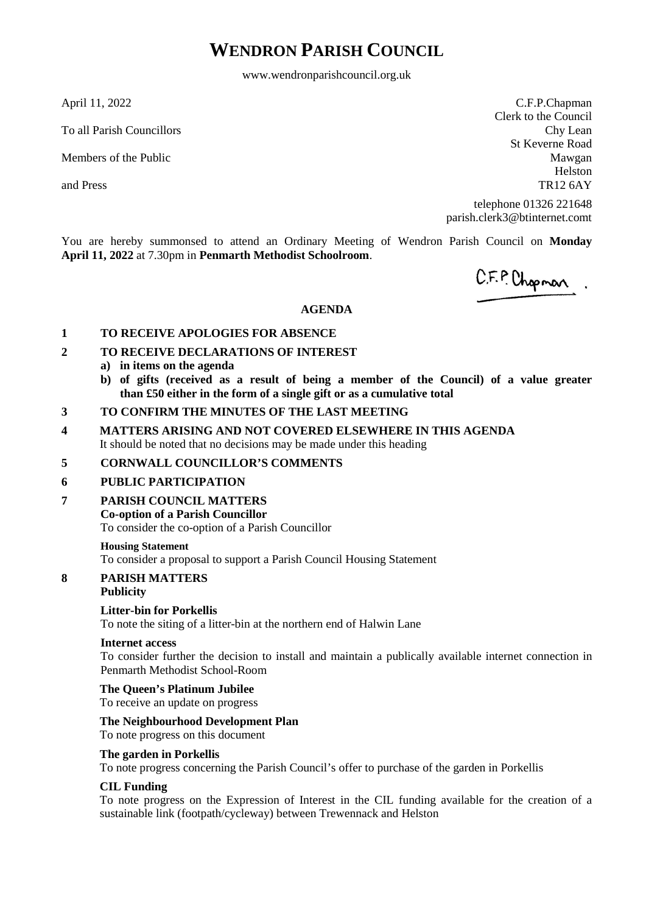# **WENDRON PARISH COUNCIL**

www.wendronparishcouncil.org.uk

April 11, 2022

To all Parish Councillors

Members of the Public

and Press

C.F.P.Chapman Clerk to the Council Chy Lean St Keverne Road Mawgan Helston TR12 6AY

telephone 01326 221648 parish.clerk3@btinternet.comt

You are hereby summonsed to attend an Ordinary Meeting of Wendron Parish Council on **Monday April 11, 2022** at 7.30pm in **Penmarth Methodist Schoolroom**.

C.F.P. Chopman.

## **AGENDA**

## **1 TO RECEIVE APOLOGIES FOR ABSENCE**

- **2 TO RECEIVE DECLARATIONS OF INTEREST**
	- **a) in items on the agenda**
	- **b) of gifts (received as a result of being a member of the Council) of a value greater than £50 either in the form of a single gift or as a cumulative total**
- **3 TO CONFIRM THE MINUTES OF THE LAST MEETING**
- **4 MATTERS ARISING AND NOT COVERED ELSEWHERE IN THIS AGENDA** It should be noted that no decisions may be made under this heading

## **5 CORNWALL COUNCILLOR'S COMMENTS**

## **6 PUBLIC PARTICIPATION**

**7 PARISH COUNCIL MATTERS**

## **Co-option of a Parish Councillor**

To consider the co-option of a Parish Councillor

#### **Housing Statement**

To consider a proposal to support a Parish Council Housing Statement

## **8 PARISH MATTERS**

## **Publicity**

## **Litter-bin for Porkellis**

To note the siting of a litter-bin at the northern end of Halwin Lane

## **Internet access**

To consider further the decision to install and maintain a publically available internet connection in Penmarth Methodist School-Room

## **The Queen's Platinum Jubilee**

To receive an update on progress

## **The Neighbourhood Development Plan**

# To note progress on this document

## **The garden in Porkellis**

To note progress concerning the Parish Council's offer to purchase of the garden in Porkellis

## **CIL Funding**

To note progress on the Expression of Interest in the CIL funding available for the creation of a sustainable link (footpath/cycleway) between Trewennack and Helston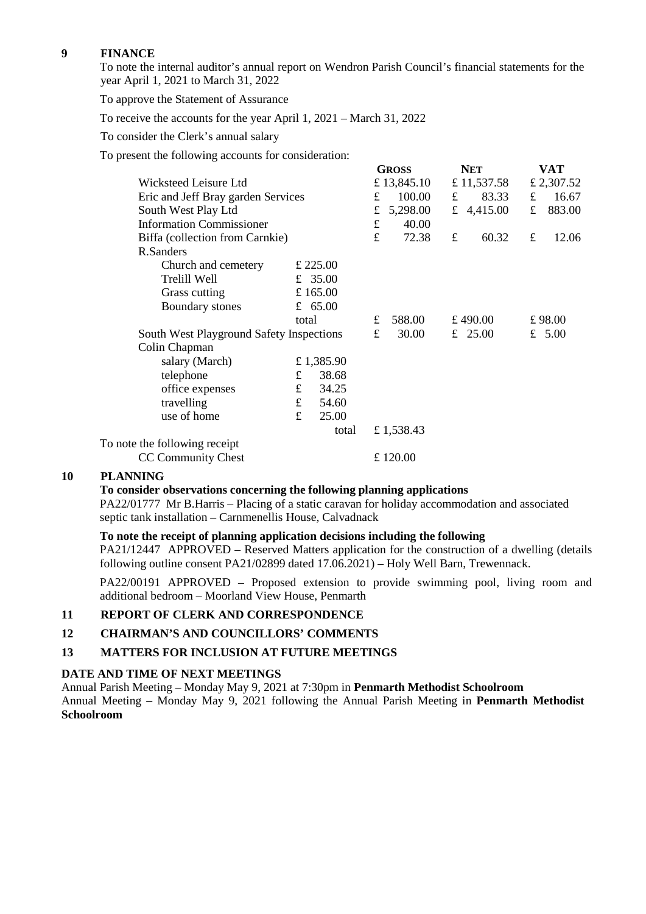## **9 FINANCE**

To note the internal auditor's annual report on Wendron Parish Council's financial statements for the year April 1, 2021 to March 31, 2022

To approve the Statement of Assurance

To receive the accounts for the year April 1, 2021 – March 31, 2022

To consider the Clerk's annual salary

To present the following accounts for consideration:

|                                    |                                          |             | <b>GROSS</b> |             | <b>NET</b> |             | VAT         |            |
|------------------------------------|------------------------------------------|-------------|--------------|-------------|------------|-------------|-------------|------------|
| Wicksteed Leisure Ltd              |                                          |             |              | £ 13,845.10 |            | £ 11,537.58 |             | £ 2,307.52 |
| Eric and Jeff Bray garden Services |                                          | $f_{\cdot}$ | 100.00       | f           | 83.33      | $\mathbf f$ | 16.67       |            |
| South West Play Ltd                |                                          | £           | 5,298.00     |             | £ 4,415.00 | £           | 883.00      |            |
| <b>Information Commissioner</b>    |                                          |             | £            | 40.00       |            |             |             |            |
| Biffa (collection from Carnkie)    |                                          |             | £            | 72.38       | £          | 60.32       | $\mathbf f$ | 12.06      |
| R.Sanders                          |                                          |             |              |             |            |             |             |            |
| Church and cemetery                |                                          | £ 225.00    |              |             |            |             |             |            |
| Trelill Well                       |                                          | £ 35.00     |              |             |            |             |             |            |
| Grass cutting                      | £ $165.00$                               |             |              |             |            |             |             |            |
| Boundary stones                    |                                          | £ $65.00$   |              |             |            |             |             |            |
|                                    | total                                    |             | £            | 588.00      |            | £ 490.00    | £98.00      |            |
|                                    | South West Playground Safety Inspections |             | £            | 30.00       |            | £ 25.00     |             | £ $5.00$   |
| Colin Chapman                      |                                          |             |              |             |            |             |             |            |
| salary (March)                     |                                          | £ 1,385.90  |              |             |            |             |             |            |
| telephone                          | £                                        | 38.68       |              |             |            |             |             |            |
| office expenses                    | £                                        | 34.25       |              |             |            |             |             |            |
| travelling                         | $\mathbf f$                              | 54.60       |              |             |            |             |             |            |
| use of home                        | $\mathbf f$                              | 25.00       |              |             |            |             |             |            |
|                                    |                                          | total       |              | £1,538.43   |            |             |             |            |
| To note the following receipt      |                                          |             |              |             |            |             |             |            |
| <b>CC Community Chest</b>          |                                          |             |              | £120.00     |            |             |             |            |
|                                    |                                          |             |              |             |            |             |             |            |

## **10 PLANNING**

#### **To consider observations concerning the following planning applications**

PA22/01777 Mr B.Harris – Placing of a static caravan for holiday accommodation and associated septic tank installation – Carnmenellis House, Calvadnack

## **To note the receipt of planning application decisions including the following**

PA21/12447 APPROVED – Reserved Matters application for the construction of a dwelling (details following outline consent PA21/02899 dated 17.06.2021) – Holy Well Barn, Trewennack.

PA22/00191 APPROVED – Proposed extension to provide swimming pool, living room and additional bedroom – Moorland View House, Penmarth

## **11 REPORT OF CLERK AND CORRESPONDENCE**

**12 CHAIRMAN'S AND COUNCILLORS' COMMENTS** 

## **13 MATTERS FOR INCLUSION AT FUTURE MEETINGS**

#### **DATE AND TIME OF NEXT MEETINGS**

Annual Parish Meeting – Monday May 9, 2021 at 7:30pm in **Penmarth Methodist Schoolroom** Annual Meeting – Monday May 9, 2021 following the Annual Parish Meeting in **Penmarth Methodist Schoolroom**